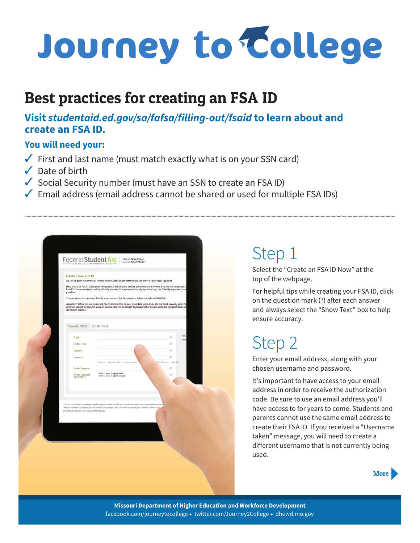# Journey to College

#### Best practices for creating an FSA ID

#### **Visit** *studentaid.ed.gov/sa/fafsa/filling-out/fsaid* **to learn about and create an FSA ID.**

#### **You will need your:**

- $\checkmark$  First and last name (must match exactly what is on your SSN card)
- $\sqrt{\phantom{a}}$  Date of birth
- $\checkmark$  Social Security number (must have an SSN to create an FSA ID)
- $\sqrt{\ }$  Email address (email address cannot be shared or used for multiple FSA IDs)

| An FSA ID gives you access to Federal Student Aid's online systems and can serve as your legal signature.<br>Only create an FSA ID using your own personal information and for your own exclusive use. You are not authorized to<br>behalf of someone else, including a family member. Misrepresentation of your identity to the federal government coul<br>penalties.<br>To create your own personal FSA ID, enter answers for the questions below and select CONTINUE.<br>Important: When you are done click the CANCEL button to clear your data, even if you did not finish creating your FS,<br>browser window or going to another website may not be enough to prevent other people using this computer from se-<br>the session expires.<br>Create An FSA ID<br>Edit My FSA ID<br>$+100$<br>$\circ$<br>E-mail<br>· Free<br>$\Omega$<br>Confirm E-mell<br>$\circ$<br>Lisomamo -<br>$\circ$<br>Password -<br>of Numbers of Uppercase Letters of Lawercase Letters<br>A 33 Classdars<br>$-$ Show Text<br>$\Omega$<br>Confirm Password -<br>I am 13 years of age or older.<br>Are you 13 years of<br>age or older? -<br>Ö<br>I am 12 years of age or younger.<br>This is a U.S. Federal Government owned computer system, for the use by authorized asers only. Unauthorized access v<br>statutes. Violations are pursishable by civil and criminal penalties. Use of this system implies consent to have all act<br>provided as evidence to law enforcement officials. | Create a New FSA ID |  |
|---------------------------------------------------------------------------------------------------------------------------------------------------------------------------------------------------------------------------------------------------------------------------------------------------------------------------------------------------------------------------------------------------------------------------------------------------------------------------------------------------------------------------------------------------------------------------------------------------------------------------------------------------------------------------------------------------------------------------------------------------------------------------------------------------------------------------------------------------------------------------------------------------------------------------------------------------------------------------------------------------------------------------------------------------------------------------------------------------------------------------------------------------------------------------------------------------------------------------------------------------------------------------------------------------------------------------------------------------------------------------------------------------------------------------------------------------------------------------|---------------------|--|
|                                                                                                                                                                                                                                                                                                                                                                                                                                                                                                                                                                                                                                                                                                                                                                                                                                                                                                                                                                                                                                                                                                                                                                                                                                                                                                                                                                                                                                                                           |                     |  |
|                                                                                                                                                                                                                                                                                                                                                                                                                                                                                                                                                                                                                                                                                                                                                                                                                                                                                                                                                                                                                                                                                                                                                                                                                                                                                                                                                                                                                                                                           |                     |  |
|                                                                                                                                                                                                                                                                                                                                                                                                                                                                                                                                                                                                                                                                                                                                                                                                                                                                                                                                                                                                                                                                                                                                                                                                                                                                                                                                                                                                                                                                           |                     |  |
|                                                                                                                                                                                                                                                                                                                                                                                                                                                                                                                                                                                                                                                                                                                                                                                                                                                                                                                                                                                                                                                                                                                                                                                                                                                                                                                                                                                                                                                                           |                     |  |
|                                                                                                                                                                                                                                                                                                                                                                                                                                                                                                                                                                                                                                                                                                                                                                                                                                                                                                                                                                                                                                                                                                                                                                                                                                                                                                                                                                                                                                                                           |                     |  |
|                                                                                                                                                                                                                                                                                                                                                                                                                                                                                                                                                                                                                                                                                                                                                                                                                                                                                                                                                                                                                                                                                                                                                                                                                                                                                                                                                                                                                                                                           |                     |  |
|                                                                                                                                                                                                                                                                                                                                                                                                                                                                                                                                                                                                                                                                                                                                                                                                                                                                                                                                                                                                                                                                                                                                                                                                                                                                                                                                                                                                                                                                           |                     |  |
|                                                                                                                                                                                                                                                                                                                                                                                                                                                                                                                                                                                                                                                                                                                                                                                                                                                                                                                                                                                                                                                                                                                                                                                                                                                                                                                                                                                                                                                                           |                     |  |
|                                                                                                                                                                                                                                                                                                                                                                                                                                                                                                                                                                                                                                                                                                                                                                                                                                                                                                                                                                                                                                                                                                                                                                                                                                                                                                                                                                                                                                                                           |                     |  |
|                                                                                                                                                                                                                                                                                                                                                                                                                                                                                                                                                                                                                                                                                                                                                                                                                                                                                                                                                                                                                                                                                                                                                                                                                                                                                                                                                                                                                                                                           |                     |  |
|                                                                                                                                                                                                                                                                                                                                                                                                                                                                                                                                                                                                                                                                                                                                                                                                                                                                                                                                                                                                                                                                                                                                                                                                                                                                                                                                                                                                                                                                           |                     |  |
|                                                                                                                                                                                                                                                                                                                                                                                                                                                                                                                                                                                                                                                                                                                                                                                                                                                                                                                                                                                                                                                                                                                                                                                                                                                                                                                                                                                                                                                                           |                     |  |
|                                                                                                                                                                                                                                                                                                                                                                                                                                                                                                                                                                                                                                                                                                                                                                                                                                                                                                                                                                                                                                                                                                                                                                                                                                                                                                                                                                                                                                                                           |                     |  |
|                                                                                                                                                                                                                                                                                                                                                                                                                                                                                                                                                                                                                                                                                                                                                                                                                                                                                                                                                                                                                                                                                                                                                                                                                                                                                                                                                                                                                                                                           |                     |  |
|                                                                                                                                                                                                                                                                                                                                                                                                                                                                                                                                                                                                                                                                                                                                                                                                                                                                                                                                                                                                                                                                                                                                                                                                                                                                                                                                                                                                                                                                           |                     |  |
|                                                                                                                                                                                                                                                                                                                                                                                                                                                                                                                                                                                                                                                                                                                                                                                                                                                                                                                                                                                                                                                                                                                                                                                                                                                                                                                                                                                                                                                                           |                     |  |
|                                                                                                                                                                                                                                                                                                                                                                                                                                                                                                                                                                                                                                                                                                                                                                                                                                                                                                                                                                                                                                                                                                                                                                                                                                                                                                                                                                                                                                                                           |                     |  |
|                                                                                                                                                                                                                                                                                                                                                                                                                                                                                                                                                                                                                                                                                                                                                                                                                                                                                                                                                                                                                                                                                                                                                                                                                                                                                                                                                                                                                                                                           |                     |  |
|                                                                                                                                                                                                                                                                                                                                                                                                                                                                                                                                                                                                                                                                                                                                                                                                                                                                                                                                                                                                                                                                                                                                                                                                                                                                                                                                                                                                                                                                           |                     |  |
|                                                                                                                                                                                                                                                                                                                                                                                                                                                                                                                                                                                                                                                                                                                                                                                                                                                                                                                                                                                                                                                                                                                                                                                                                                                                                                                                                                                                                                                                           |                     |  |
|                                                                                                                                                                                                                                                                                                                                                                                                                                                                                                                                                                                                                                                                                                                                                                                                                                                                                                                                                                                                                                                                                                                                                                                                                                                                                                                                                                                                                                                                           |                     |  |
|                                                                                                                                                                                                                                                                                                                                                                                                                                                                                                                                                                                                                                                                                                                                                                                                                                                                                                                                                                                                                                                                                                                                                                                                                                                                                                                                                                                                                                                                           |                     |  |
|                                                                                                                                                                                                                                                                                                                                                                                                                                                                                                                                                                                                                                                                                                                                                                                                                                                                                                                                                                                                                                                                                                                                                                                                                                                                                                                                                                                                                                                                           |                     |  |

### Step 1

Select the "Create an FSA ID Now" at the top of the webpage.

For helpful tips while creating your FSA ID, click on the question mark (?) after each answer and always select the "Show Text" box to help ensure accuracy.

## Step 2

Enter your email address, along with your chosen username and password.

It's important to have access to your email address in order to receive the authorization code. Be sure to use an email address you'll have access to for years to come. Students and parents cannot use the same email address to create their FSA ID. If you received a "Username taken" message, you will need to create a different username that is not currently being used.



**Missouri Department of Higher Education and Workforce Development** facebook.com/journeytocollege • twitter.com/Journey2College • dhewd.mo.gov